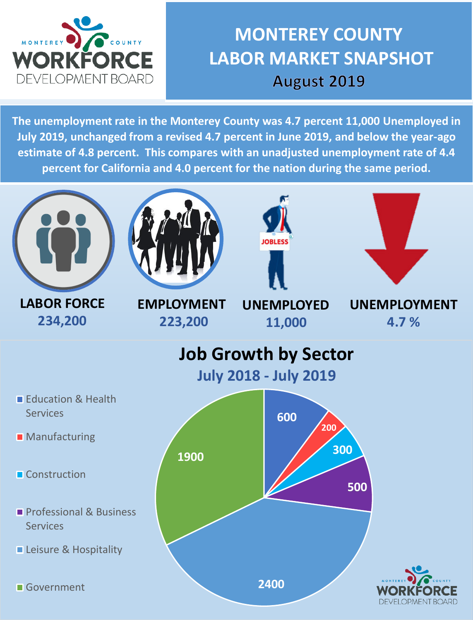

## **MONTEREY COUNTY LABOR MARKET SNAPSHOT** August 2019

**The unemployment rate in the Monterey County was 4.7 percent 11,000 Unemployed in July 2019, unchanged from a revised 4.7 percent in June 2019, and below the year-ago estimate of 4.8 percent. This compares with an unadjusted unemployment rate of 4.4 percent for California and 4.0 percent for the nation during the same period.**